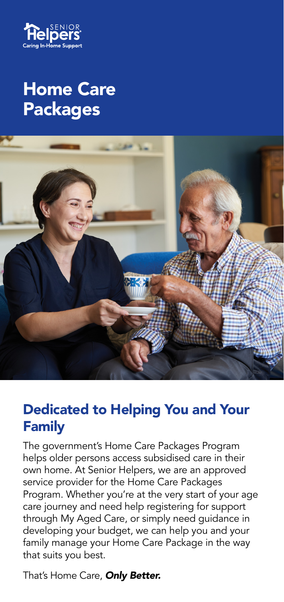

# Home Care Packages



## Dedicated to Helping You and Your Family

The government's Home Care Packages Program helps older persons access subsidised care in their own home. At Senior Helpers, we are an approved service provider for the Home Care Packages Program. Whether you're at the very start of your age care journey and need help registering for support through My Aged Care, or simply need guidance in developing your budget, we can help you and your family manage your Home Care Package in the way that suits you best.

That's Home Care, *Only Better.*